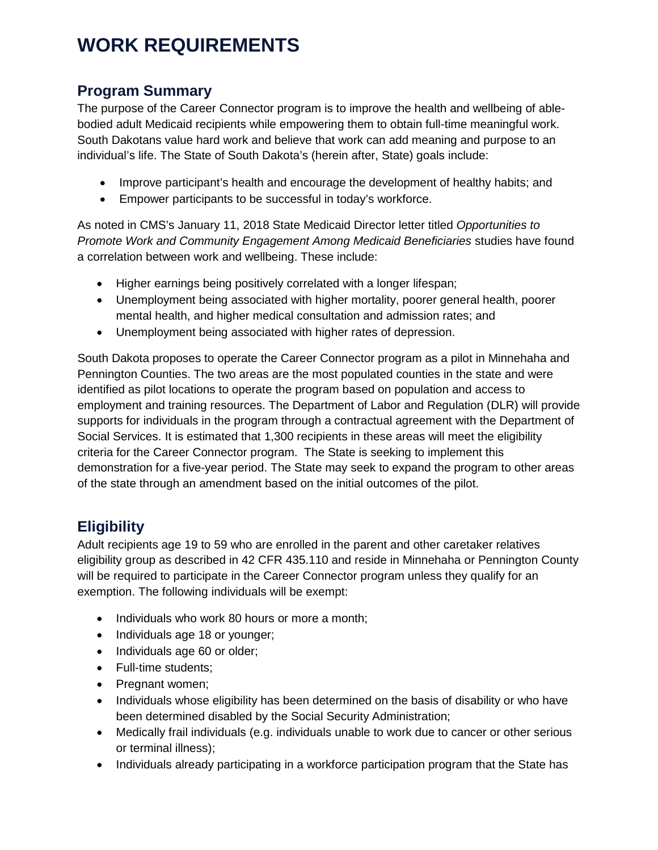# **WORK REQUIREMENTS**

## **Program Summary**

The purpose of the Career Connector program is to improve the health and wellbeing of ablebodied adult Medicaid recipients while empowering them to obtain full-time meaningful work. South Dakotans value hard work and believe that work can add meaning and purpose to an individual's life. The State of South Dakota's (herein after, State) goals include:

- Improve participant's health and encourage the development of healthy habits; and
- Empower participants to be successful in today's workforce.

As noted in CMS's January 11, 2018 State Medicaid Director letter titled *Opportunities to Promote Work and Community Engagement Among Medicaid Beneficiaries* studies have found a correlation between work and wellbeing. These include:

- Higher earnings being positively correlated with a longer lifespan;
- Unemployment being associated with higher mortality, poorer general health, poorer mental health, and higher medical consultation and admission rates; and
- Unemployment being associated with higher rates of depression.

South Dakota proposes to operate the Career Connector program as a pilot in Minnehaha and Pennington Counties. The two areas are the most populated counties in the state and were identified as pilot locations to operate the program based on population and access to employment and training resources. The Department of Labor and Regulation (DLR) will provide supports for individuals in the program through a contractual agreement with the Department of Social Services. It is estimated that 1,300 recipients in these areas will meet the eligibility criteria for the Career Connector program. The State is seeking to implement this demonstration for a five-year period. The State may seek to expand the program to other areas of the state through an amendment based on the initial outcomes of the pilot.

# **Eligibility**

Adult recipients age 19 to 59 who are enrolled in the parent and other caretaker relatives eligibility group as described in 42 CFR 435.110 and reside in Minnehaha or Pennington County will be required to participate in the Career Connector program unless they qualify for an exemption. The following individuals will be exempt:

- Individuals who work 80 hours or more a month;
- Individuals age 18 or younger;
- Individuals age 60 or older;
- Full-time students;
- Pregnant women;
- Individuals whose eligibility has been determined on the basis of disability or who have been determined disabled by the Social Security Administration;
- Medically frail individuals (e.g. individuals unable to work due to cancer or other serious or terminal illness);
- Individuals already participating in a workforce participation program that the State has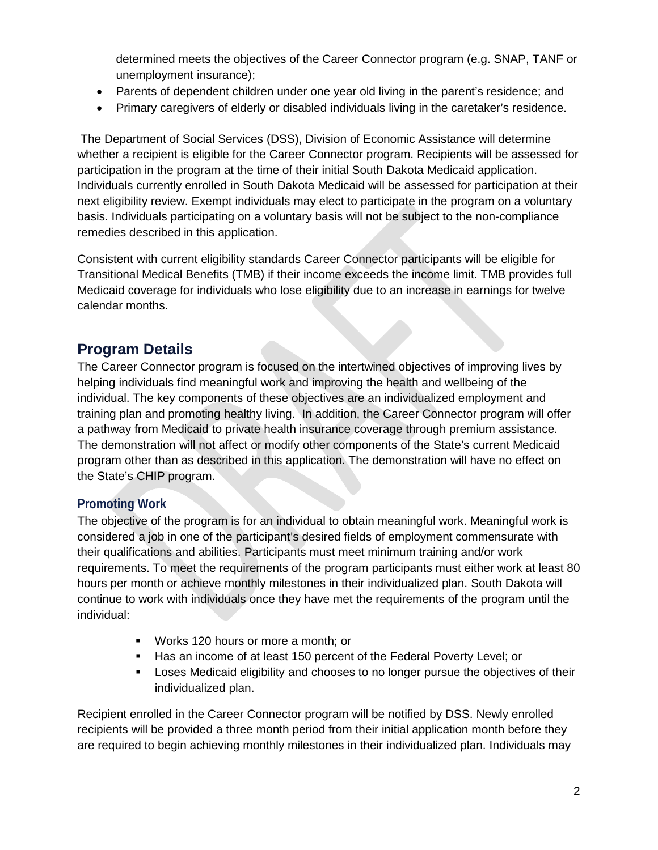determined meets the objectives of the Career Connector program (e.g. SNAP, TANF or unemployment insurance);

- Parents of dependent children under one year old living in the parent's residence; and
- Primary caregivers of elderly or disabled individuals living in the caretaker's residence.

The Department of Social Services (DSS), Division of Economic Assistance will determine whether a recipient is eligible for the Career Connector program. Recipients will be assessed for participation in the program at the time of their initial South Dakota Medicaid application. Individuals currently enrolled in South Dakota Medicaid will be assessed for participation at their next eligibility review. Exempt individuals may elect to participate in the program on a voluntary basis. Individuals participating on a voluntary basis will not be subject to the non-compliance remedies described in this application.

Consistent with current eligibility standards Career Connector participants will be eligible for Transitional Medical Benefits (TMB) if their income exceeds the income limit. TMB provides full Medicaid coverage for individuals who lose eligibility due to an increase in earnings for twelve calendar months.

## **Program Details**

The Career Connector program is focused on the intertwined objectives of improving lives by helping individuals find meaningful work and improving the health and wellbeing of the individual. The key components of these objectives are an individualized employment and training plan and promoting healthy living. In addition, the Career Connector program will offer a pathway from Medicaid to private health insurance coverage through premium assistance. The demonstration will not affect or modify other components of the State's current Medicaid program other than as described in this application. The demonstration will have no effect on the State's CHIP program.

#### **Promoting Work**

The objective of the program is for an individual to obtain meaningful work. Meaningful work is considered a job in one of the participant's desired fields of employment commensurate with their qualifications and abilities. Participants must meet minimum training and/or work requirements. To meet the requirements of the program participants must either work at least 80 hours per month or achieve monthly milestones in their individualized plan. South Dakota will continue to work with individuals once they have met the requirements of the program until the individual:

- **Works 120 hours or more a month; or**
- Has an income of at least 150 percent of the Federal Poverty Level; or
- **EXELOSES** Medicaid eligibility and chooses to no longer pursue the objectives of their individualized plan.

Recipient enrolled in the Career Connector program will be notified by DSS. Newly enrolled recipients will be provided a three month period from their initial application month before they are required to begin achieving monthly milestones in their individualized plan. Individuals may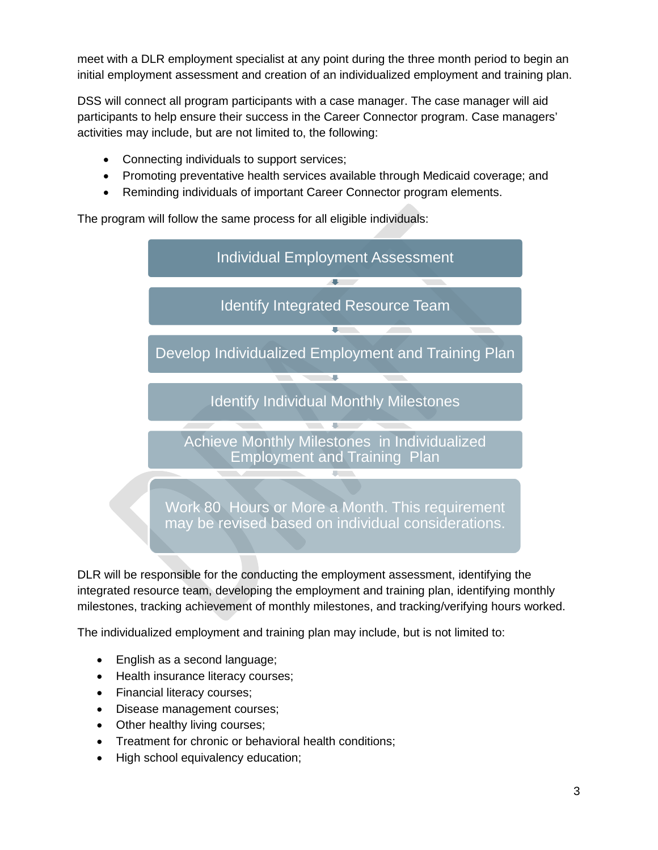meet with a DLR employment specialist at any point during the three month period to begin an initial employment assessment and creation of an individualized employment and training plan.

DSS will connect all program participants with a case manager. The case manager will aid participants to help ensure their success in the Career Connector program. Case managers' activities may include, but are not limited to, the following:

- Connecting individuals to support services;
- Promoting preventative health services available through Medicaid coverage; and
- Reminding individuals of important Career Connector program elements.

The program will follow the same process for all eligible individuals:



DLR will be responsible for the conducting the employment assessment, identifying the integrated resource team, developing the employment and training plan, identifying monthly milestones, tracking achievement of monthly milestones, and tracking/verifying hours worked.

The individualized employment and training plan may include, but is not limited to:

- English as a second language;
- Health insurance literacy courses;
- Financial literacy courses;
- Disease management courses;
- Other healthy living courses;
- Treatment for chronic or behavioral health conditions;
- High school equivalency education;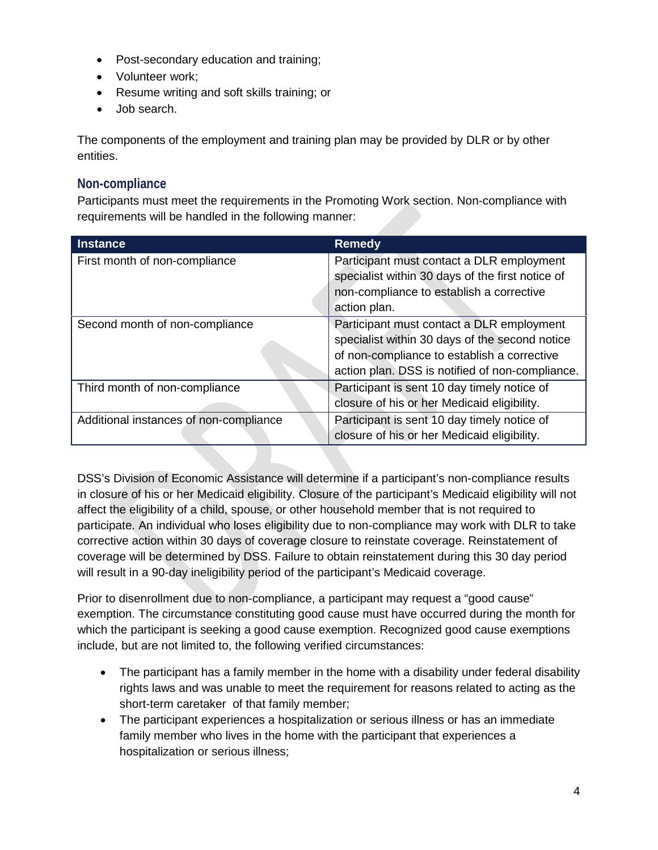- Post-secondary education and training;
- Volunteer work;
- Resume writing and soft skills training; or
- Job search.

The components of the employment and training plan may be provided by DLR or by other entities.

#### **Non-compliance**

Participants must meet the requirements in the Promoting Work section. Non-compliance with requirements will be handled in the following manner:

| <b>Instance</b>                        | <b>Remedy</b>                                    |
|----------------------------------------|--------------------------------------------------|
| First month of non-compliance          | Participant must contact a DLR employment        |
|                                        | specialist within 30 days of the first notice of |
|                                        | non-compliance to establish a corrective         |
|                                        | action plan.                                     |
| Second month of non-compliance         | Participant must contact a DLR employment        |
|                                        | specialist within 30 days of the second notice   |
|                                        | of non-compliance to establish a corrective      |
|                                        | action plan. DSS is notified of non-compliance.  |
| Third month of non-compliance          | Participant is sent 10 day timely notice of      |
|                                        | closure of his or her Medicaid eligibility.      |
| Additional instances of non-compliance | Participant is sent 10 day timely notice of      |
|                                        | closure of his or her Medicaid eligibility.      |

DSS's Division of Economic Assistance will determine if a participant's non-compliance results in closure of his or her Medicaid eligibility. Closure of the participant's Medicaid eligibility will not affect the eligibility of a child, spouse, or other household member that is not required to participate. An individual who loses eligibility due to non-compliance may work with DLR to take corrective action within 30 days of coverage closure to reinstate coverage. Reinstatement of coverage will be determined by DSS. Failure to obtain reinstatement during this 30 day period will result in a 90-day ineligibility period of the participant's Medicaid coverage.

Prior to disenrollment due to non-compliance, a participant may request a "good cause" exemption. The circumstance constituting good cause must have occurred during the month for which the participant is seeking a good cause exemption. Recognized good cause exemptions include, but are not limited to, the following verified circumstances:

- The participant has a family member in the home with a disability under federal disability rights laws and was unable to meet the requirement for reasons related to acting as the short-term caretaker of that family member;
- The participant experiences a hospitalization or serious illness or has an immediate family member who lives in the home with the participant that experiences a hospitalization or serious illness;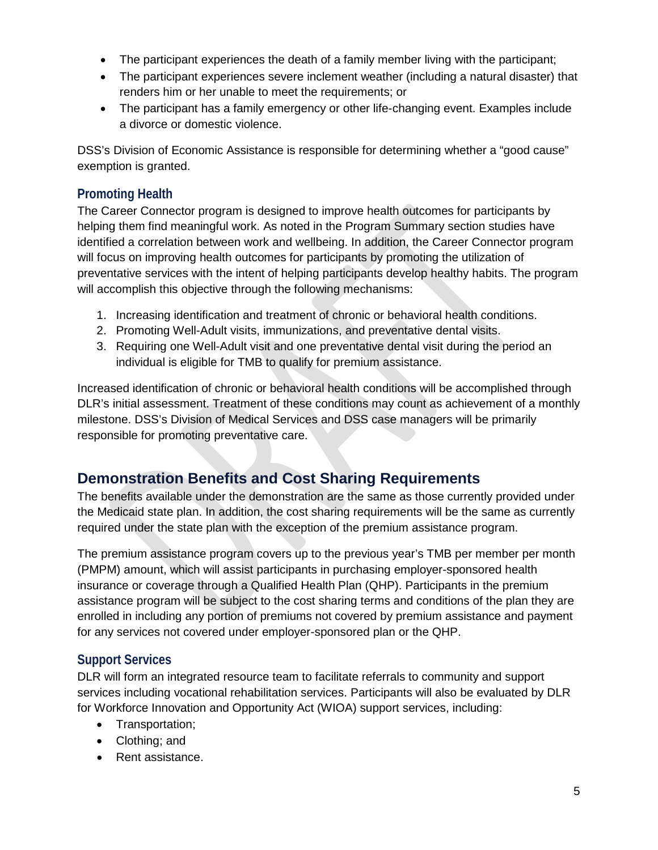- The participant experiences the death of a family member living with the participant;
- The participant experiences severe inclement weather (including a natural disaster) that renders him or her unable to meet the requirements; or
- The participant has a family emergency or other life-changing event. Examples include a divorce or domestic violence.

DSS's Division of Economic Assistance is responsible for determining whether a "good cause" exemption is granted.

#### **Promoting Health**

The Career Connector program is designed to improve health outcomes for participants by helping them find meaningful work. As noted in the Program Summary section studies have identified a correlation between work and wellbeing. In addition, the Career Connector program will focus on improving health outcomes for participants by promoting the utilization of preventative services with the intent of helping participants develop healthy habits. The program will accomplish this objective through the following mechanisms:

- 1. Increasing identification and treatment of chronic or behavioral health conditions.
- 2. Promoting Well-Adult visits, immunizations, and preventative dental visits.
- 3. Requiring one Well-Adult visit and one preventative dental visit during the period an individual is eligible for TMB to qualify for premium assistance.

Increased identification of chronic or behavioral health conditions will be accomplished through DLR's initial assessment. Treatment of these conditions may count as achievement of a monthly milestone. DSS's Division of Medical Services and DSS case managers will be primarily responsible for promoting preventative care.

# **Demonstration Benefits and Cost Sharing Requirements**

The benefits available under the demonstration are the same as those currently provided under the Medicaid state plan. In addition, the cost sharing requirements will be the same as currently required under the state plan with the exception of the premium assistance program.

The premium assistance program covers up to the previous year's TMB per member per month (PMPM) amount, which will assist participants in purchasing employer-sponsored health insurance or coverage through a Qualified Health Plan (QHP). Participants in the premium assistance program will be subject to the cost sharing terms and conditions of the plan they are enrolled in including any portion of premiums not covered by premium assistance and payment for any services not covered under employer-sponsored plan or the QHP.

### **Support Services**

DLR will form an integrated resource team to facilitate referrals to community and support services including vocational rehabilitation services. Participants will also be evaluated by DLR for Workforce Innovation and Opportunity Act (WIOA) support services, including:

- Transportation;
- Clothing; and
- Rent assistance.